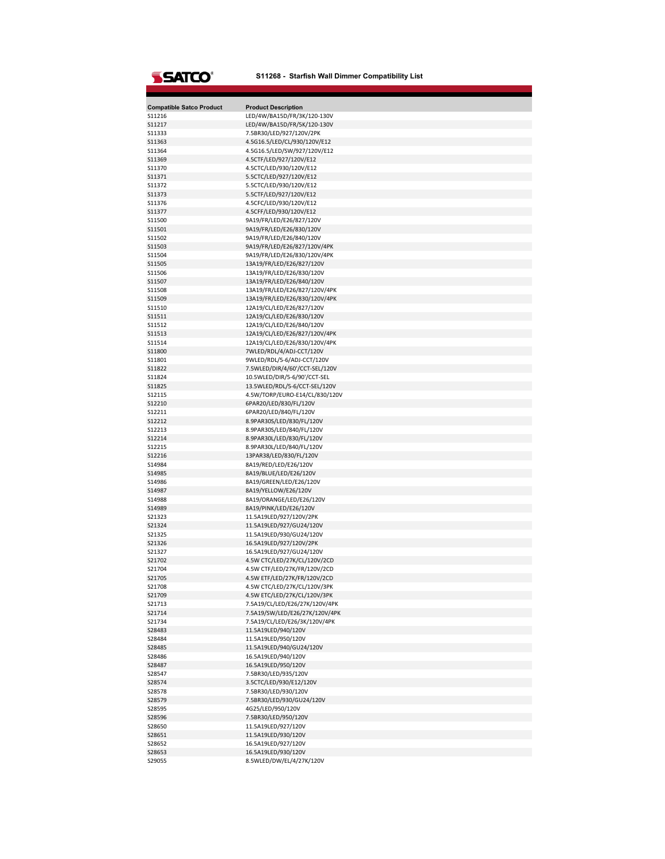## **SSATCO**®

## **S11268 - Starfish Wall Dimmer Compatibility List**

| <b>Compatible Satco Product</b> | <b>Product Description</b>     |
|---------------------------------|--------------------------------|
| S11216                          | LED/4W/BA15D/FR/3K/120-130V    |
| S11217                          | LED/4W/BA15D/FR/5K/120-130V    |
| S11333                          | 7.5BR30/LED/927/120V/2PK       |
| S11363                          | 4.5G16.5/LED/CL/930/120V/E12   |
| S11364                          | 4.5G16.5/LED/SW/927/120V/E12   |
| S11369                          | 4.5CTF/LED/927/120V/E12        |
| S11370                          | 4.5CTC/LED/930/120V/E12        |
| S11371                          | 5.5CTC/LED/927/120V/E12        |
| S11372                          | 5.5CTC/LED/930/120V/E12        |
| S11373                          | 5.5CTF/LED/927/120V/E12        |
| S11376                          | 4.5CFC/LED/930/120V/E12        |
| S11377                          | 4.5CFF/LED/930/120V/E12        |
| S11500                          | 9A19/FR/LED/E26/827/120V       |
| S11501                          | 9A19/FR/LED/E26/830/120V       |
| S11502                          | 9A19/FR/LED/E26/840/120V       |
| S11503                          | 9A19/FR/LED/E26/827/120V/4PK   |
| S11504                          | 9A19/FR/LED/E26/830/120V/4PK   |
| S11505                          | 13A19/FR/LED/E26/827/120V      |
| S11506                          | 13A19/FR/LED/E26/830/120V      |
| S11507                          | 13A19/FR/LED/E26/840/120V      |
|                                 |                                |
| S11508                          | 13A19/FR/LED/E26/827/120V/4PK  |
| S11509                          | 13A19/FR/LED/E26/830/120V/4PK  |
| S11510                          | 12A19/CL/LED/E26/827/120V      |
| S11511                          | 12A19/CL/LED/E26/830/120V      |
| S11512                          | 12A19/CL/LED/E26/840/120V      |
| S11513                          | 12A19/CL/LED/E26/827/120V/4PK  |
| S11514                          | 12A19/CL/LED/E26/830/120V/4PK  |
| S11800                          | 7WLED/RDL/4/ADJ-CCT/120V       |
| S11801                          | 9WLED/RDL/5-6/ADJ-CCT/120V     |
| S11822                          | 7.5WLED/DIR/4/60'/CCT-SEL/120V |
| S11824                          | 10.5WLED/DIR/5-6/90'/CCT-SEL   |
| S11825                          | 13.5WLED/RDL/5-6/CCT-SEL/120V  |
| S12115                          | 4.5W/TORP/EURO-E14/CL/830/120V |
| S12210                          | 6PAR20/LED/830/FL/120V         |
| S12211                          | 6PAR20/LED/840/FL/120V         |
| S12212                          | 8.9PAR30S/LED/830/FL/120V      |
| S12213                          | 8.9PAR30S/LED/840/FL/120V      |
| S12214                          | 8.9PAR30L/LED/830/FL/120V      |
| S12215                          | 8.9PAR30L/LED/840/FL/120V      |
| S12216                          | 13PAR38/LED/830/FL/120V        |
| S14984                          | 8A19/RED/LED/E26/120V          |
| S14985                          | 8A19/BLUE/LED/E26/120V         |
| S14986                          | 8A19/GREEN/LED/E26/120V        |
| S14987                          | 8A19/YELLOW/E26/120V           |
| S14988                          | 8A19/ORANGE/LED/E26/120V       |
| S14989                          | 8A19/PINK/LED/E26/120V         |
| S21323                          | 11.5A19LED/927/120V/2PK        |
| S21324                          | 11.5A19LED/927/GU24/120V       |
| S21325                          | 11.5A19LED/930/GU24/120V       |
| S21326                          | 16.5A19LED/927/120V/2PK        |
| S21327                          | 16.5A19LED/927/GU24/120V       |
| S21702                          | 4.5W CTC/LED/27K/CL/120V/2CD   |
| S21704                          | 4.5W CTF/LED/27K/FR/120V/2CD   |
| S21705                          | 4.5W ETF/LED/27K/FR/120V/2CD   |
| S21708                          | 4.5W CTC/LED/27K/CL/120V/3PK   |
| S21709                          | 4.5W ETC/LED/27K/CL/120V/3PK   |
| S21713                          | 7.5A19/CL/LED/E26/27K/120V/4PK |
| S21714                          | 7.5A19/SW/LED/E26/27K/120V/4PK |
| S21734                          | 7.5A19/CL/LED/E26/3K/120V/4PK  |
|                                 | 11.5A19LED/940/120V            |
| S28483                          |                                |
| S28484                          | 11.5A19LED/950/120V            |
| S28485                          | 11.5A19LED/940/GU24/120V       |
| S28486                          | 16.5A19LED/940/120V            |
| S28487                          | 16.5A19LED/950/120V            |
| S28547                          | 7.5BR30/LED/935/120V           |
| S28574                          | 3.5CTC/LED/930/E12/120V        |
| S28578                          | 7.5BR30/LED/930/120V           |
| S28579                          | 7.5BR30/LED/930/GU24/120V      |
| S28595                          | 4G25/LED/950/120V              |
| S28596                          | 7.5BR30/LED/950/120V           |
| S28650                          | 11.5A19LED/927/120V            |
| S28651                          | 11.5A19LED/930/120V            |
| S28652                          | 16.5A19LED/927/120V            |
| S28653                          | 16.5A19LED/930/120V            |
| S29055                          | 8.5WLED/DW/EL/4/27K/120V       |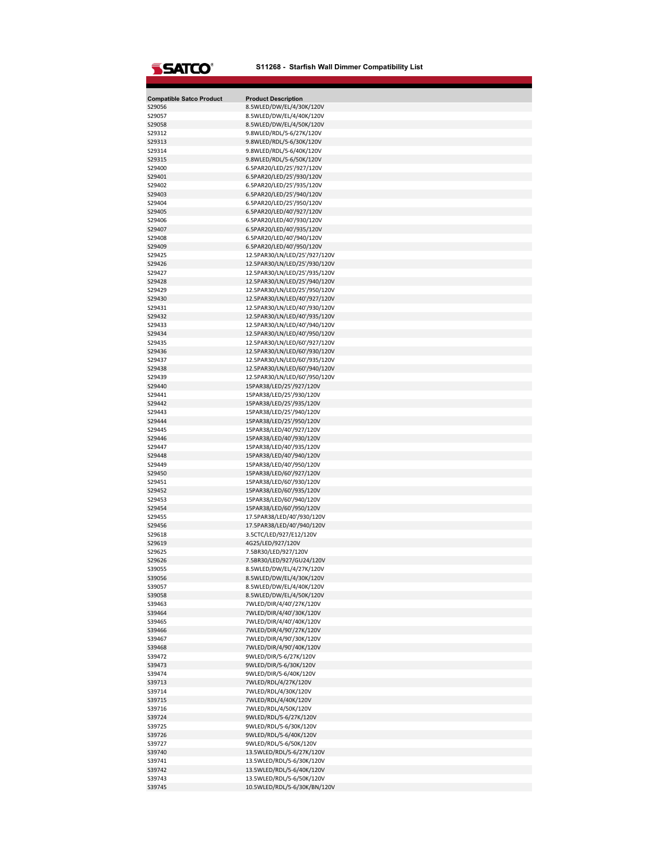

| <b>Compatible Satco Product</b><br>S29056 | <b>Product Description</b><br>8.5WLED/DW/EL/4/30K/120V |
|-------------------------------------------|--------------------------------------------------------|
| S29057                                    | 8.5WLED/DW/EL/4/40K/120V                               |
| S29058                                    | 8.5WLED/DW/EL/4/50K/120V                               |
| S29312                                    | 9.8WLED/RDL/5-6/27K/120V                               |
| S29313                                    | 9.8WLED/RDL/5-6/30K/120V                               |
| S29314                                    | 9.8WLED/RDL/5-6/40K/120V                               |
| S29315                                    | 9.8WLED/RDL/5-6/50K/120V                               |
| S29400                                    | 6.5PAR20/LED/25'/927/120V                              |
| S29401                                    | 6.5PAR20/LED/25'/930/120V                              |
| S29402                                    | 6.5PAR20/LED/25'/935/120V                              |
| S29403                                    | 6.5PAR20/LED/25'/940/120V                              |
| S29404                                    | 6.5PAR20/LED/25'/950/120V                              |
| S29405                                    | 6.5PAR20/LED/40'/927/120V                              |
| S29406                                    | 6.5PAR20/LED/40'/930/120V                              |
| S29407                                    | 6.5PAR20/LED/40'/935/120V                              |
| S29408                                    | 6.5PAR20/LED/40'/940/120V                              |
| S29409                                    | 6.5PAR20/LED/40'/950/120V                              |
| S29425                                    | 12.5PAR30/LN/LED/25'/927/120V                          |
| S29426                                    | 12.5PAR30/LN/LED/25'/930/120V                          |
| S29427                                    | 12.5PAR30/LN/LED/25'/935/120V                          |
| S29428                                    | 12.5PAR30/LN/LED/25'/940/120V                          |
| S29429                                    | 12.5PAR30/LN/LED/25'/950/120V                          |
| S29430                                    | 12.5PAR30/LN/LED/40'/927/120V                          |
| S29431                                    | 12.5PAR30/LN/LED/40'/930/120V                          |
| S29432                                    | 12.5PAR30/LN/LED/40'/935/120V                          |
| S29433                                    | 12.5PAR30/LN/LED/40'/940/120V                          |
| S29434                                    | 12.5PAR30/LN/LED/40'/950/120V                          |
| S29435                                    | 12.5PAR30/LN/LED/60'/927/120V                          |
| S29436                                    | 12.5PAR30/LN/LED/60'/930/120V                          |
| S29437                                    | 12.5PAR30/LN/LED/60'/935/120V                          |
| S29438                                    | 12.5PAR30/LN/LED/60'/940/120V                          |
| S29439                                    | 12.5PAR30/LN/LED/60'/950/120V                          |
| S29440                                    | 15PAR38/LED/25'/927/120V                               |
| S29441                                    | 15PAR38/LED/25'/930/120V                               |
| S29442                                    | 15PAR38/LED/25'/935/120V                               |
| S29443                                    | 15PAR38/LED/25'/940/120V                               |
| S29444                                    | 15PAR38/LED/25'/950/120V                               |
| S29445                                    | 15PAR38/LED/40'/927/120V                               |
| S29446                                    | 15PAR38/LED/40'/930/120V                               |
| S29447                                    | 15PAR38/LED/40'/935/120V                               |
| S29448                                    | 15PAR38/LED/40'/940/120V                               |
| S29449                                    | 15PAR38/LED/40'/950/120V                               |
| S29450                                    | 15PAR38/LED/60'/927/120V                               |
| S29451                                    | 15PAR38/LED/60'/930/120V                               |
| S29452                                    | 15PAR38/LED/60'/935/120V                               |
| S29453                                    | 15PAR38/LED/60'/940/120V                               |
| S29454                                    | 15PAR38/LED/60'/950/120V                               |
| S29455                                    | 17.5PAR38/LED/40'/930/120V                             |
| S29456                                    | 17.5PAR38/LED/40'/940/120V                             |
| S29618                                    | 3.5CTC/LED/927/E12/120V                                |
| S29619                                    | 4G25/LED/927/120V                                      |
| S29625                                    | 7.5BR30/LED/927/120V                                   |
| S29626                                    | 7.5BR30/LED/927/GU24/120V                              |
| S39055                                    | 8.5WLED/DW/EL/4/27K/120V                               |
| S39056                                    | 8.5WLED/DW/EL/4/30K/120V                               |
| S39057                                    | 8.5WLED/DW/EL/4/40K/120V                               |
| S39058                                    | 8.5WLED/DW/EL/4/50K/120V                               |
| S39463                                    | 7WLED/DIR/4/40'/27K/120V                               |
| S39464                                    | 7WLED/DIR/4/40'/30K/120V                               |
| S39465                                    | 7WLED/DIR/4/40'/40K/120V                               |
| S39466                                    | 7WLED/DIR/4/90'/27K/120V                               |
| S39467                                    | 7WLED/DIR/4/90'/30K/120V                               |
| S39468                                    | 7WLED/DIR/4/90'/40K/120V                               |
| S39472                                    | 9WLED/DIR/5-6/27K/120V                                 |
| S39473                                    | 9WLED/DIR/5-6/30K/120V                                 |
| S39474                                    | 9WLED/DIR/5-6/40K/120V                                 |
| S39713                                    | 7WLED/RDL/4/27K/120V                                   |
| S39714                                    | 7WLED/RDL/4/30K/120V                                   |
| S39715                                    | 7WLED/RDL/4/40K/120V                                   |
| S39716                                    | 7WLED/RDL/4/50K/120V                                   |
| S39724                                    | 9WLED/RDL/5-6/27K/120V                                 |
| S39725                                    | 9WLED/RDL/5-6/30K/120V                                 |
| S39726                                    | 9WLED/RDL/5-6/40K/120V                                 |
| S39727                                    | 9WLED/RDL/5-6/50K/120V                                 |
| S39740                                    | 13.5WLED/RDL/5-6/27K/120V                              |
| S39741                                    | 13.5WLED/RDL/5-6/30K/120V                              |
| S39742                                    | 13.5WLED/RDL/5-6/40K/120V                              |
| S39743                                    | 13.5WLED/RDL/5-6/50K/120V                              |
| S39745                                    | 10.5WLED/RDL/5-6/30K/BN/120V                           |
|                                           |                                                        |